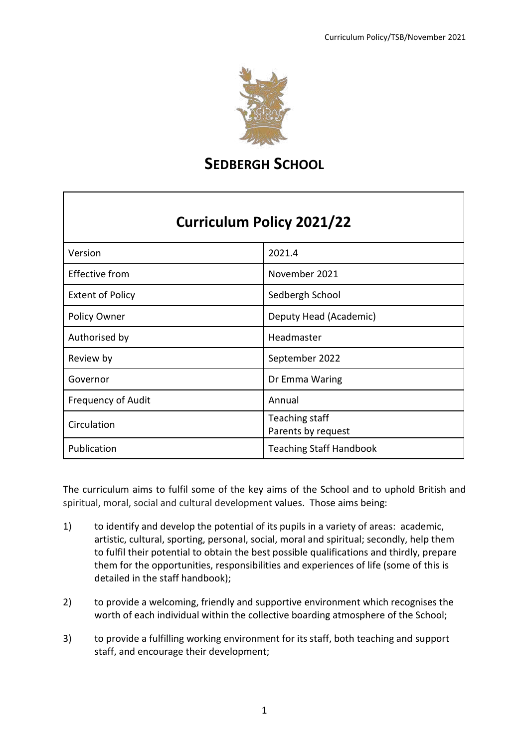

**SEDBERGH SCHOOL**

# **Curriculum Policy 2021/22**

| Version                   | 2021.4                               |
|---------------------------|--------------------------------------|
| <b>Effective from</b>     | November 2021                        |
| <b>Extent of Policy</b>   | Sedbergh School                      |
| Policy Owner              | Deputy Head (Academic)               |
| Authorised by             | Headmaster                           |
| Review by                 | September 2022                       |
| Governor                  | Dr Emma Waring                       |
| <b>Frequency of Audit</b> | Annual                               |
| Circulation               | Teaching staff<br>Parents by request |
| Publication               | <b>Teaching Staff Handbook</b>       |

The curriculum aims to fulfil some of the key aims of the School and to uphold British and spiritual, moral, social and cultural development values. Those aims being:

- 1) to identify and develop the potential of its pupils in a variety of areas: academic, artistic, cultural, sporting, personal, social, moral and spiritual; secondly, help them to fulfil their potential to obtain the best possible qualifications and thirdly, prepare them for the opportunities, responsibilities and experiences of life (some of this is detailed in the staff handbook);
- 2) to provide a welcoming, friendly and supportive environment which recognises the worth of each individual within the collective boarding atmosphere of the School;
- 3) to provide a fulfilling working environment for its staff, both teaching and support staff, and encourage their development;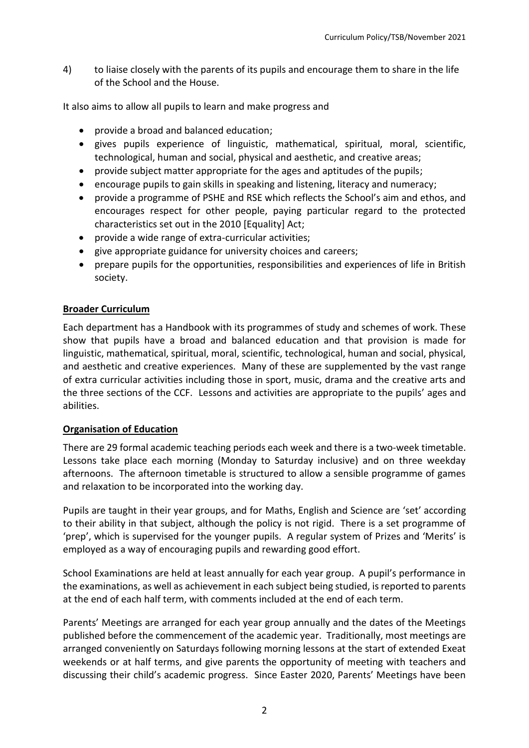4) to liaise closely with the parents of its pupils and encourage them to share in the life of the School and the House.

It also aims to allow all pupils to learn and make progress and

- provide a broad and balanced education;
- gives pupils experience of linguistic, mathematical, spiritual, moral, scientific, technological, human and social, physical and aesthetic, and creative areas;
- provide subject matter appropriate for the ages and aptitudes of the pupils;
- encourage pupils to gain skills in speaking and listening, literacy and numeracy;
- provide a programme of PSHE and RSE which reflects the School's aim and ethos, and encourages respect for other people, paying particular regard to the protected characteristics set out in the 2010 [Equality] Act;
- provide a wide range of extra-curricular activities;
- give appropriate guidance for university choices and careers;
- prepare pupils for the opportunities, responsibilities and experiences of life in British society.

#### **Broader Curriculum**

Each department has a Handbook with its programmes of study and schemes of work. These show that pupils have a broad and balanced education and that provision is made for linguistic, mathematical, spiritual, moral, scientific, technological, human and social, physical, and aesthetic and creative experiences. Many of these are supplemented by the vast range of extra curricular activities including those in sport, music, drama and the creative arts and the three sections of the CCF. Lessons and activities are appropriate to the pupils' ages and abilities.

#### **Organisation of Education**

There are 29 formal academic teaching periods each week and there is a two-week timetable. Lessons take place each morning (Monday to Saturday inclusive) and on three weekday afternoons. The afternoon timetable is structured to allow a sensible programme of games and relaxation to be incorporated into the working day.

Pupils are taught in their year groups, and for Maths, English and Science are 'set' according to their ability in that subject, although the policy is not rigid. There is a set programme of 'prep', which is supervised for the younger pupils. A regular system of Prizes and 'Merits' is employed as a way of encouraging pupils and rewarding good effort.

School Examinations are held at least annually for each year group. A pupil's performance in the examinations, as well as achievement in each subject being studied, is reported to parents at the end of each half term, with comments included at the end of each term.

Parents' Meetings are arranged for each year group annually and the dates of the Meetings published before the commencement of the academic year. Traditionally, most meetings are arranged conveniently on Saturdays following morning lessons at the start of extended Exeat weekends or at half terms, and give parents the opportunity of meeting with teachers and discussing their child's academic progress. Since Easter 2020, Parents' Meetings have been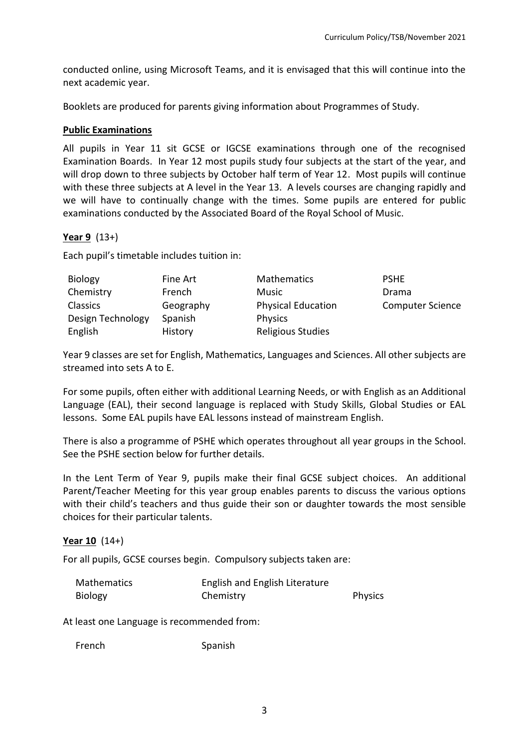conducted online, using Microsoft Teams, and it is envisaged that this will continue into the next academic year.

Booklets are produced for parents giving information about Programmes of Study.

#### **Public Examinations**

All pupils in Year 11 sit GCSE or IGCSE examinations through one of the recognised Examination Boards. In Year 12 most pupils study four subjects at the start of the year, and will drop down to three subjects by October half term of Year 12. Most pupils will continue with these three subjects at A level in the Year 13. A levels courses are changing rapidly and we will have to continually change with the times. Some pupils are entered for public examinations conducted by the Associated Board of the Royal School of Music.

# **Year 9** (13+)

Each pupil's timetable includes tuition in:

| Biology           | Fine Art  | <b>Mathematics</b>        | <b>PSHE</b>             |
|-------------------|-----------|---------------------------|-------------------------|
| Chemistry         | French    | <b>Music</b>              | Drama                   |
| <b>Classics</b>   | Geography | <b>Physical Education</b> | <b>Computer Science</b> |
| Design Technology | Spanish   | <b>Physics</b>            |                         |
| English           | History   | Religious Studies         |                         |

Year 9 classes are set for English, Mathematics, Languages and Sciences. All other subjects are streamed into sets A to E.

For some pupils, often either with additional Learning Needs, or with English as an Additional Language (EAL), their second language is replaced with Study Skills, Global Studies or EAL lessons. Some EAL pupils have EAL lessons instead of mainstream English.

There is also a programme of PSHE which operates throughout all year groups in the School. See the PSHE section below for further details.

In the Lent Term of Year 9, pupils make their final GCSE subject choices. An additional Parent/Teacher Meeting for this year group enables parents to discuss the various options with their child's teachers and thus guide their son or daughter towards the most sensible choices for their particular talents.

#### **Year 10** (14+)

For all pupils, GCSE courses begin. Compulsory subjects taken are:

| <b>Mathematics</b> | English and English Literature |                |
|--------------------|--------------------------------|----------------|
| <b>Biology</b>     | Chemistry                      | <b>Physics</b> |

At least one Language is recommended from:

French Spanish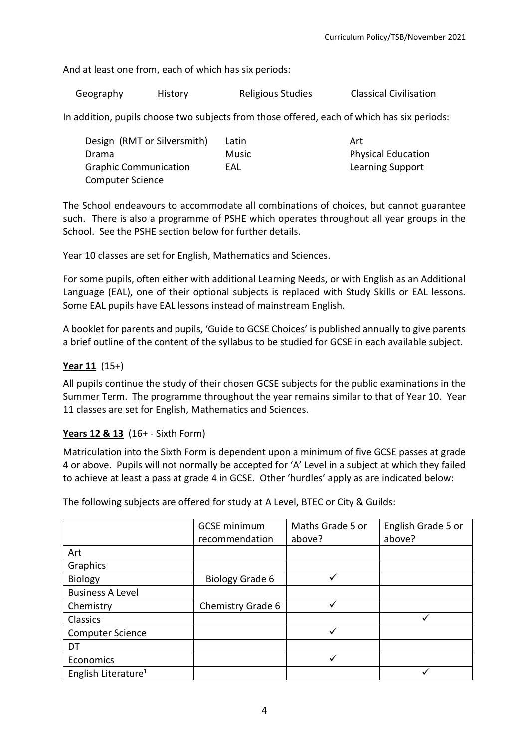And at least one from, each of which has six periods:

Geography History Religious Studies Classical Civilisation

In addition, pupils choose two subjects from those offered, each of which has six periods:

| Art                       |
|---------------------------|
| <b>Physical Education</b> |
| <b>Learning Support</b>   |
|                           |
|                           |

The School endeavours to accommodate all combinations of choices, but cannot guarantee such. There is also a programme of PSHE which operates throughout all year groups in the School. See the PSHE section below for further details.

Year 10 classes are set for English, Mathematics and Sciences.

For some pupils, often either with additional Learning Needs, or with English as an Additional Language (EAL), one of their optional subjects is replaced with Study Skills or EAL lessons. Some EAL pupils have EAL lessons instead of mainstream English.

A booklet for parents and pupils, 'Guide to GCSE Choices' is published annually to give parents a brief outline of the content of the syllabus to be studied for GCSE in each available subject.

# **Year 11** (15+)

All pupils continue the study of their chosen GCSE subjects for the public examinations in the Summer Term. The programme throughout the year remains similar to that of Year 10. Year 11 classes are set for English, Mathematics and Sciences.

#### **Years 12 & 13** (16+ - Sixth Form)

Matriculation into the Sixth Form is dependent upon a minimum of five GCSE passes at grade 4 or above. Pupils will not normally be accepted for 'A' Level in a subject at which they failed to achieve at least a pass at grade 4 in GCSE. Other 'hurdles' apply as are indicated below:

The following subjects are offered for study at A Level, BTEC or City & Guilds:

|                                 | <b>GCSE</b> minimum | Maths Grade 5 or | English Grade 5 or |
|---------------------------------|---------------------|------------------|--------------------|
|                                 | recommendation      | above?           | above?             |
| Art                             |                     |                  |                    |
| Graphics                        |                     |                  |                    |
| <b>Biology</b>                  | Biology Grade 6     |                  |                    |
| <b>Business A Level</b>         |                     |                  |                    |
| Chemistry                       | Chemistry Grade 6   | ✓                |                    |
| Classics                        |                     |                  |                    |
| <b>Computer Science</b>         |                     |                  |                    |
| DT                              |                     |                  |                    |
| Economics                       |                     |                  |                    |
| English Literature <sup>1</sup> |                     |                  |                    |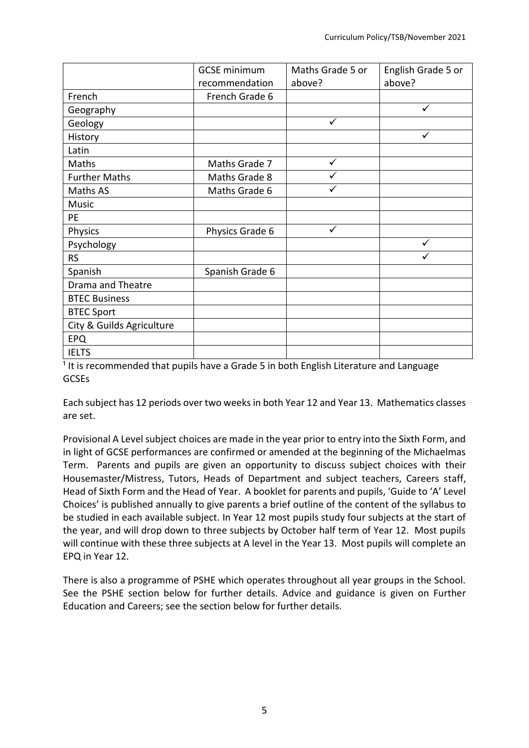|                           | <b>GCSE</b> minimum | Maths Grade 5 or | English Grade 5 or |
|---------------------------|---------------------|------------------|--------------------|
|                           | recommendation      | above?           | above?             |
| French                    | French Grade 6      |                  |                    |
| Geography                 |                     |                  | ✓                  |
| Geology                   |                     | ✓                |                    |
| History                   |                     |                  | ✓                  |
| Latin                     |                     |                  |                    |
| Maths                     | Maths Grade 7       | ✓                |                    |
| <b>Further Maths</b>      | Maths Grade 8       |                  |                    |
| Maths AS                  | Maths Grade 6       | ✓                |                    |
| <b>Music</b>              |                     |                  |                    |
| <b>PE</b>                 |                     |                  |                    |
| Physics                   | Physics Grade 6     | ✓                |                    |
| Psychology                |                     |                  | ✓                  |
| <b>RS</b>                 |                     |                  | ✓                  |
| Spanish                   | Spanish Grade 6     |                  |                    |
| <b>Drama and Theatre</b>  |                     |                  |                    |
| <b>BTEC Business</b>      |                     |                  |                    |
| <b>BTEC Sport</b>         |                     |                  |                    |
| City & Guilds Agriculture |                     |                  |                    |
| <b>EPQ</b>                |                     |                  |                    |
| <b>IELTS</b>              |                     |                  |                    |

 $1$  It is recommended that pupils have a Grade 5 in both English Literature and Language GCSEs

Each subject has 12 periods over two weeks in both Year 12 and Year 13. Mathematics classes are set.

Provisional A Level subject choices are made in the year prior to entry into the Sixth Form, and in light of GCSE performances are confirmed or amended at the beginning of the Michaelmas Term. Parents and pupils are given an opportunity to discuss subject choices with their Housemaster/Mistress, Tutors, Heads of Department and subject teachers, Careers staff, Head of Sixth Form and the Head of Year. A booklet for parents and pupils, 'Guide to 'A' Level Choices' is published annually to give parents a brief outline of the content of the syllabus to be studied in each available subject. In Year 12 most pupils study four subjects at the start of the year, and will drop down to three subjects by October half term of Year 12. Most pupils will continue with these three subjects at A level in the Year 13. Most pupils will complete an EPQ in Year 12.

There is also a programme of PSHE which operates throughout all year groups in the School. See the PSHE section below for further details. Advice and guidance is given on Further Education and Careers; see the section below for further details.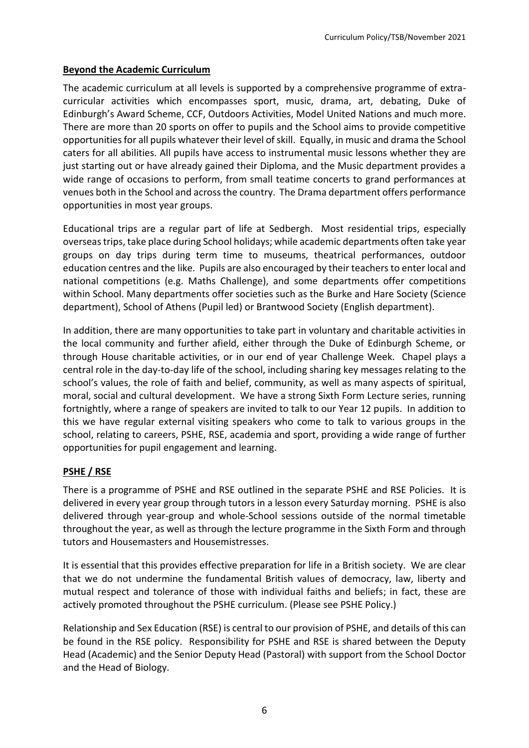#### **Beyond the Academic Curriculum**

The academic curriculum at all levels is supported by a comprehensive programme of extracurricular activities which encompasses sport, music, drama, art, debating, Duke of Edinburgh's Award Scheme, CCF, Outdoors Activities, Model United Nations and much more. There are more than 20 sports on offer to pupils and the School aims to provide competitive opportunities for all pupils whatever their level of skill. Equally, in music and drama the School caters for all abilities. All pupils have access to instrumental music lessons whether they are just starting out or have already gained their Diploma, and the Music department provides a wide range of occasions to perform, from small teatime concerts to grand performances at venues both in the School and across the country. The Drama department offers performance opportunities in most year groups.

Educational trips are a regular part of life at Sedbergh. Most residential trips, especially overseas trips, take place during School holidays; while academic departments often take year groups on day trips during term time to museums, theatrical performances, outdoor education centres and the like. Pupils are also encouraged by their teachers to enter local and national competitions (e.g. Maths Challenge), and some departments offer competitions within School. Many departments offer societies such as the Burke and Hare Society (Science department), School of Athens (Pupil led) or Brantwood Society (English department).

In addition, there are many opportunities to take part in voluntary and charitable activities in the local community and further afield, either through the Duke of Edinburgh Scheme, or through House charitable activities, or in our end of year Challenge Week. Chapel plays a central role in the day-to-day life of the school, including sharing key messages relating to the school's values, the role of faith and belief, community, as well as many aspects of spiritual, moral, social and cultural development. We have a strong Sixth Form Lecture series, running fortnightly, where a range of speakers are invited to talk to our Year 12 pupils. In addition to this we have regular external visiting speakers who come to talk to various groups in the school, relating to careers, PSHE, RSE, academia and sport, providing a wide range of further opportunities for pupil engagement and learning.

# **PSHE / RSE**

There is a programme of PSHE and RSE outlined in the separate PSHE and RSE Policies. It is delivered in every year group through tutors in a lesson every Saturday morning. PSHE is also delivered through year-group and whole-School sessions outside of the normal timetable throughout the year, as well as through the lecture programme in the Sixth Form and through tutors and Housemasters and Housemistresses.

It is essential that this provides effective preparation for life in a British society. We are clear that we do not undermine the fundamental British values of democracy, law, liberty and mutual respect and tolerance of those with individual faiths and beliefs; in fact, these are actively promoted throughout the PSHE curriculum. (Please see PSHE Policy.)

Relationship and Sex Education (RSE) is central to our provision of PSHE, and details of this can be found in the RSE policy. Responsibility for PSHE and RSE is shared between the Deputy Head (Academic) and the Senior Deputy Head (Pastoral) with support from the School Doctor and the Head of Biology.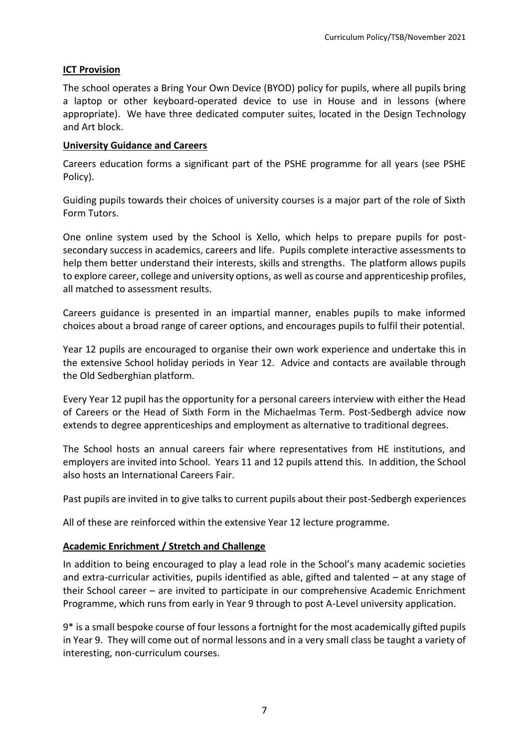#### **ICT Provision**

The school operates a Bring Your Own Device (BYOD) policy for pupils, where all pupils bring a laptop or other keyboard-operated device to use in House and in lessons (where appropriate). We have three dedicated computer suites, located in the Design Technology and Art block.

#### **University Guidance and Careers**

Careers education forms a significant part of the PSHE programme for all years (see PSHE Policy).

Guiding pupils towards their choices of university courses is a major part of the role of Sixth Form Tutors.

One online system used by the School is Xello, which helps to prepare pupils for postsecondary success in academics, careers and life. Pupils complete interactive assessments to help them better understand their interests, skills and strengths. The platform allows pupils to explore career, college and university options, as well as course and apprenticeship profiles, all matched to assessment results.

Careers guidance is presented in an impartial manner, enables pupils to make informed choices about a broad range of career options, and encourages pupils to fulfil their potential.

Year 12 pupils are encouraged to organise their own work experience and undertake this in the extensive School holiday periods in Year 12. Advice and contacts are available through the Old Sedberghian platform.

Every Year 12 pupil has the opportunity for a personal careers interview with either the Head of Careers or the Head of Sixth Form in the Michaelmas Term. Post-Sedbergh advice now extends to degree apprenticeships and employment as alternative to traditional degrees.

The School hosts an annual careers fair where representatives from HE institutions, and employers are invited into School. Years 11 and 12 pupils attend this. In addition, the School also hosts an International Careers Fair.

Past pupils are invited in to give talks to current pupils about their post-Sedbergh experiences

All of these are reinforced within the extensive Year 12 lecture programme.

#### **Academic Enrichment / Stretch and Challenge**

In addition to being encouraged to play a lead role in the School's many academic societies and extra-curricular activities, pupils identified as able, gifted and talented – at any stage of their School career – are invited to participate in our comprehensive Academic Enrichment Programme, which runs from early in Year 9 through to post A-Level university application.

9\* is a small bespoke course of four lessons a fortnight for the most academically gifted pupils in Year 9. They will come out of normal lessons and in a very small class be taught a variety of interesting, non-curriculum courses.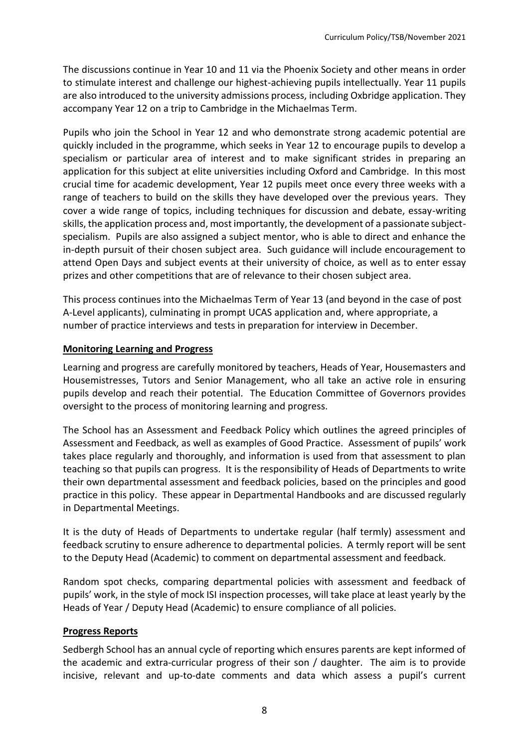The discussions continue in Year 10 and 11 via the Phoenix Society and other means in order to stimulate interest and challenge our highest-achieving pupils intellectually. Year 11 pupils are also introduced to the university admissions process, including Oxbridge application. They accompany Year 12 on a trip to Cambridge in the Michaelmas Term.

Pupils who join the School in Year 12 and who demonstrate strong academic potential are quickly included in the programme, which seeks in Year 12 to encourage pupils to develop a specialism or particular area of interest and to make significant strides in preparing an application for this subject at elite universities including Oxford and Cambridge. In this most crucial time for academic development, Year 12 pupils meet once every three weeks with a range of teachers to build on the skills they have developed over the previous years. They cover a wide range of topics, including techniques for discussion and debate, essay-writing skills, the application process and, most importantly, the development of a passionate subjectspecialism. Pupils are also assigned a subject mentor, who is able to direct and enhance the in-depth pursuit of their chosen subject area. Such guidance will include encouragement to attend Open Days and subject events at their university of choice, as well as to enter essay prizes and other competitions that are of relevance to their chosen subject area.

This process continues into the Michaelmas Term of Year 13 (and beyond in the case of post A-Level applicants), culminating in prompt UCAS application and, where appropriate, a number of practice interviews and tests in preparation for interview in December.

#### **Monitoring Learning and Progress**

Learning and progress are carefully monitored by teachers, Heads of Year, Housemasters and Housemistresses, Tutors and Senior Management, who all take an active role in ensuring pupils develop and reach their potential. The Education Committee of Governors provides oversight to the process of monitoring learning and progress.

The School has an Assessment and Feedback Policy which outlines the agreed principles of Assessment and Feedback, as well as examples of Good Practice. Assessment of pupils' work takes place regularly and thoroughly, and information is used from that assessment to plan teaching so that pupils can progress. It is the responsibility of Heads of Departments to write their own departmental assessment and feedback policies, based on the principles and good practice in this policy. These appear in Departmental Handbooks and are discussed regularly in Departmental Meetings.

It is the duty of Heads of Departments to undertake regular (half termly) assessment and feedback scrutiny to ensure adherence to departmental policies. A termly report will be sent to the Deputy Head (Academic) to comment on departmental assessment and feedback.

Random spot checks, comparing departmental policies with assessment and feedback of pupils' work, in the style of mock ISI inspection processes, will take place at least yearly by the Heads of Year / Deputy Head (Academic) to ensure compliance of all policies.

# **Progress Reports**

Sedbergh School has an annual cycle of reporting which ensures parents are kept informed of the academic and extra-curricular progress of their son / daughter. The aim is to provide incisive, relevant and up-to-date comments and data which assess a pupil's current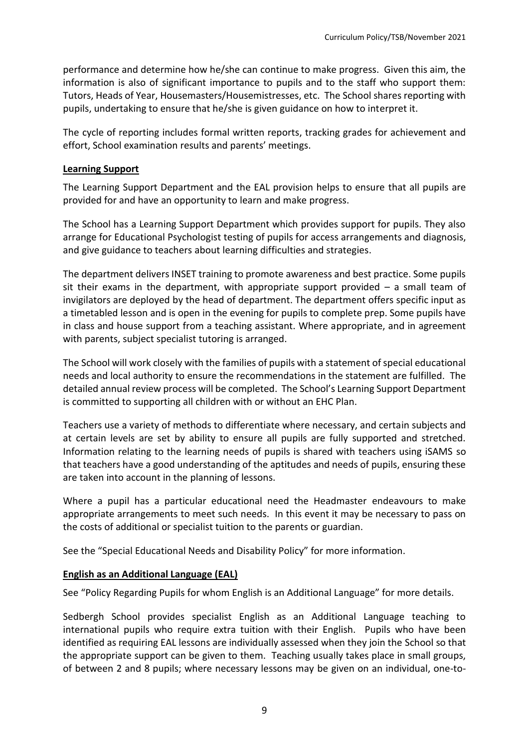performance and determine how he/she can continue to make progress. Given this aim, the information is also of significant importance to pupils and to the staff who support them: Tutors, Heads of Year, Housemasters/Housemistresses, etc. The School shares reporting with pupils, undertaking to ensure that he/she is given guidance on how to interpret it.

The cycle of reporting includes formal written reports, tracking grades for achievement and effort, School examination results and parents' meetings.

#### **Learning Support**

The Learning Support Department and the EAL provision helps to ensure that all pupils are provided for and have an opportunity to learn and make progress.

The School has a Learning Support Department which provides support for pupils. They also arrange for Educational Psychologist testing of pupils for access arrangements and diagnosis, and give guidance to teachers about learning difficulties and strategies.

The department delivers INSET training to promote awareness and best practice. Some pupils sit their exams in the department, with appropriate support provided  $-$  a small team of invigilators are deployed by the head of department. The department offers specific input as a timetabled lesson and is open in the evening for pupils to complete prep. Some pupils have in class and house support from a teaching assistant. Where appropriate, and in agreement with parents, subject specialist tutoring is arranged.

The School will work closely with the families of pupils with a statement of special educational needs and local authority to ensure the recommendations in the statement are fulfilled. The detailed annual review process will be completed. The School's Learning Support Department is committed to supporting all children with or without an EHC Plan.

Teachers use a variety of methods to differentiate where necessary, and certain subjects and at certain levels are set by ability to ensure all pupils are fully supported and stretched. Information relating to the learning needs of pupils is shared with teachers using iSAMS so that teachers have a good understanding of the aptitudes and needs of pupils, ensuring these are taken into account in the planning of lessons.

Where a pupil has a particular educational need the Headmaster endeavours to make appropriate arrangements to meet such needs. In this event it may be necessary to pass on the costs of additional or specialist tuition to the parents or guardian.

See the "Special Educational Needs and Disability Policy" for more information.

#### **English as an Additional Language (EAL)**

See "Policy Regarding Pupils for whom English is an Additional Language" for more details.

Sedbergh School provides specialist English as an Additional Language teaching to international pupils who require extra tuition with their English. Pupils who have been identified as requiring EAL lessons are individually assessed when they join the School so that the appropriate support can be given to them. Teaching usually takes place in small groups, of between 2 and 8 pupils; where necessary lessons may be given on an individual, one-to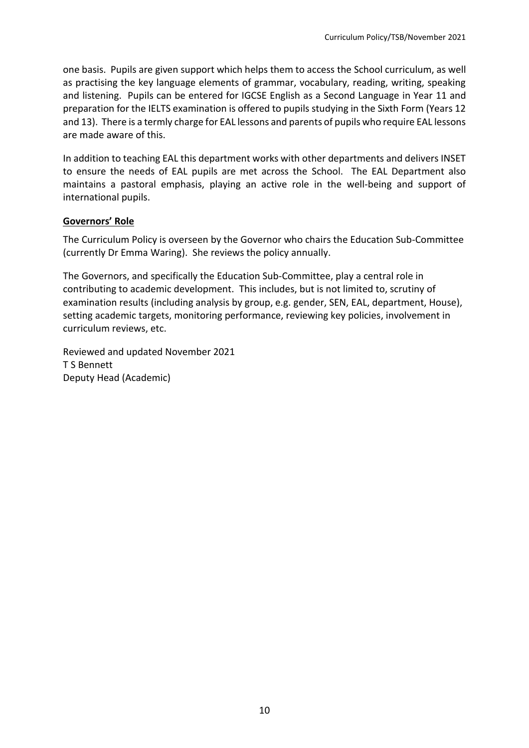one basis. Pupils are given support which helps them to access the School curriculum, as well as practising the key language elements of grammar, vocabulary, reading, writing, speaking and listening. Pupils can be entered for IGCSE English as a Second Language in Year 11 and preparation for the IELTS examination is offered to pupils studying in the Sixth Form (Years 12 and 13). There is a termly charge for EAL lessons and parents of pupils who require EAL lessons are made aware of this.

In addition to teaching EAL this department works with other departments and delivers INSET to ensure the needs of EAL pupils are met across the School. The EAL Department also maintains a pastoral emphasis, playing an active role in the well-being and support of international pupils.

#### **Governors' Role**

The Curriculum Policy is overseen by the Governor who chairs the Education Sub-Committee (currently Dr Emma Waring). She reviews the policy annually.

The Governors, and specifically the Education Sub-Committee, play a central role in contributing to academic development. This includes, but is not limited to, scrutiny of examination results (including analysis by group, e.g. gender, SEN, EAL, department, House), setting academic targets, monitoring performance, reviewing key policies, involvement in curriculum reviews, etc.

Reviewed and updated November 2021 T S Bennett Deputy Head (Academic)